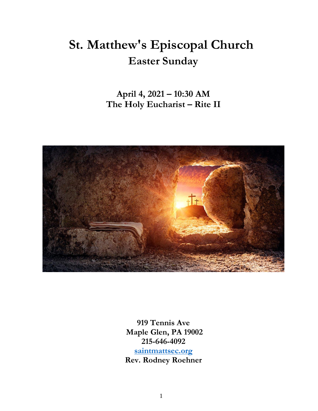# **St. Matthew's Episcopal Church Easter Sunday**

**April 4, 2021 – 10:30 AM The Holy Eucharist – Rite II**



**919 Tennis Ave Maple Glen, PA 19002 215-646-4092 [saintmattsec.org](http://www.saintmattsec.org/) Rev. Rodney Roehner**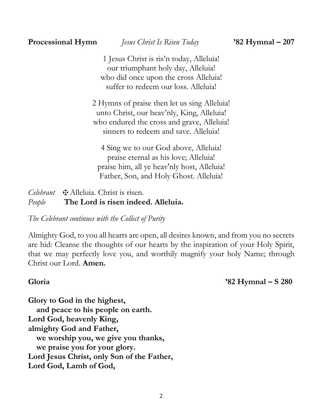**Processional Hymn** *Jesus Christ Is Risen Today* **'82 Hymnal – 207**

1 Jesus Christ is ris'n today, Alleluia! our triumphant holy day, Alleluia! who did once upon the cross Alleluia! suffer to redeem our loss. Alleluia!

2 Hymns of praise then let us sing Alleluia! unto Christ, our heav'nly, King, Alleluia! who endured the cross and grave, Alleluia! sinners to redeem and save. Alleluia!

4 Sing we to our God above, Alleluia! praise eternal as his love; Alleluia! praise him, all ye heav'nly host, Alleluia! Father, Son, and Holy Ghost. Alleluia!

#### *Celebrant* Alleluia. Christ is risen. *People* **The Lord is risen indeed. Alleluia.**

#### *The Celebrant continues with the Collect of Purity*

Almighty God, to you all hearts are open, all desires known, and from you no secrets are hid: Cleanse the thoughts of our hearts by the inspiration of your Holy Spirit, that we may perfectly love you, and worthily magnify your holy Name; through Christ our Lord. **Amen.**

**Gloria '82 Hymnal – S 280**

**Glory to God in the highest, and peace to his people on earth. Lord God, heavenly King, almighty God and Father, we worship you, we give you thanks, we praise you for your glory. Lord Jesus Christ, only Son of the Father, Lord God, Lamb of God,**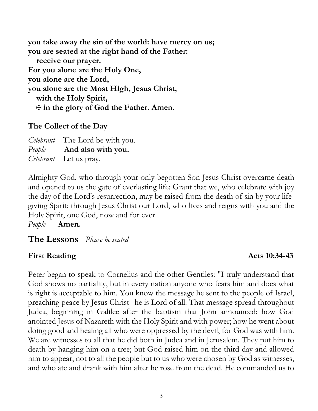**you take away the sin of the world: have mercy on us; you are seated at the right hand of the Father: receive our prayer. For you alone are the Holy One, you alone are the Lord, you alone are the Most High, Jesus Christ, with the Holy Spirit, in the glory of God the Father. Amen.**

#### **The Collect of the Day**

*Celebrant* The Lord be with you. *People* **And also with you.** *Celebrant* Let us pray.

Almighty God, who through your only-begotten Son Jesus Christ overcame death and opened to us the gate of everlasting life: Grant that we, who celebrate with joy the day of the Lord's resurrection, may be raised from the death of sin by your lifegiving Spirit; through Jesus Christ our Lord, who lives and reigns with you and the Holy Spirit, one God, now and for ever.

*People* **Amen.**

#### **The Lessons** *Please be seated*

#### First Reading **Acts** 10:34-43

Peter began to speak to Cornelius and the other Gentiles: "I truly understand that God shows no partiality, but in every nation anyone who fears him and does what is right is acceptable to him. You know the message he sent to the people of Israel, preaching peace by Jesus Christ--he is Lord of all. That message spread throughout Judea, beginning in Galilee after the baptism that John announced: how God anointed Jesus of Nazareth with the Holy Spirit and with power; how he went about doing good and healing all who were oppressed by the devil, for God was with him. We are witnesses to all that he did both in Judea and in Jerusalem. They put him to death by hanging him on a tree; but God raised him on the third day and allowed him to appear, not to all the people but to us who were chosen by God as witnesses, and who ate and drank with him after he rose from the dead. He commanded us to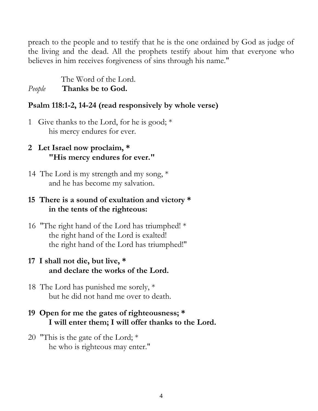preach to the people and to testify that he is the one ordained by God as judge of the living and the dead. All the prophets testify about him that everyone who believes in him receives forgiveness of sins through his name."

 The Word of the Lord. *People* **Thanks be to God.**

#### **Psalm 118:1-2, 14-24 (read responsively by whole verse)**

1 Give thanks to the Lord, for he is good; \* his mercy endures for ever.

#### **2 Let Israel now proclaim, \* "His mercy endures for ever."**

14 The Lord is my strength and my song,  $*$ and he has become my salvation.

#### **15 There is a sound of exultation and victory \* in the tents of the righteous:**

16 "The right hand of the Lord has triumphed! \* the right hand of the Lord is exalted! the right hand of the Lord has triumphed!"

## **17 I shall not die, but live, \* and declare the works of the Lord.**

18 The Lord has punished me sorely, \* but he did not hand me over to death.

#### **19 Open for me the gates of righteousness; \* I will enter them; I will offer thanks to the Lord.**

20 "This is the gate of the Lord;  $*$ he who is righteous may enter."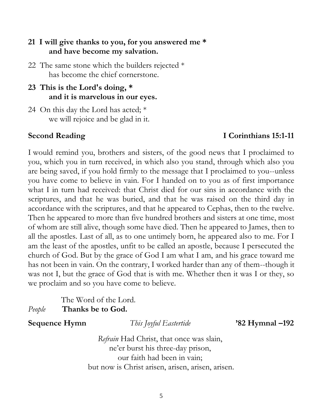#### **21 I will give thanks to you, for you answered me \* and have become my salvation.**

22 The same stone which the builders rejected  $*$ has become the chief cornerstone.

## **23 This is the Lord's doing, \* and it is marvelous in our eyes.**

24 On this day the Lord has acted; \* we will rejoice and be glad in it.

# **Second Reading I Corinthians 15:1-11**

I would remind you, brothers and sisters, of the good news that I proclaimed to you, which you in turn received, in which also you stand, through which also you are being saved, if you hold firmly to the message that I proclaimed to you--unless you have come to believe in vain. For I handed on to you as of first importance what I in turn had received: that Christ died for our sins in accordance with the scriptures, and that he was buried, and that he was raised on the third day in accordance with the scriptures, and that he appeared to Cephas, then to the twelve. Then he appeared to more than five hundred brothers and sisters at one time, most of whom are still alive, though some have died. Then he appeared to James, then to all the apostles. Last of all, as to one untimely born, he appeared also to me. For I am the least of the apostles, unfit to be called an apostle, because I persecuted the church of God. But by the grace of God I am what I am, and his grace toward me has not been in vain. On the contrary, I worked harder than any of them--though it was not I, but the grace of God that is with me. Whether then it was I or they, so we proclaim and so you have come to believe.

#### The Word of the Lord. *People* **Thanks be to God.**

**Sequence Hymn** *This Joyful Eastertide* **'82 Hymnal –192**

*Refrain* Had Christ, that once was slain, ne'er burst his three-day prison, our faith had been in vain; but now is Christ arisen, arisen, arisen, arisen.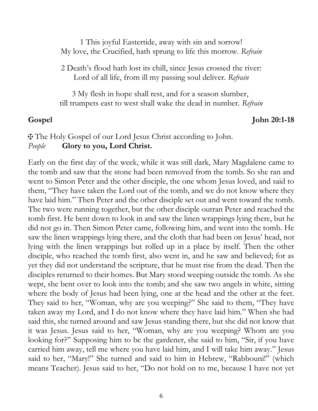1 This joyful Eastertide, away with sin and sorrow! My love, the Crucified, hath sprung to life this morrow. *Refrain*

2 Death's flood hath lost its chill, since Jesus crossed the river: Lord of all life, from ill my passing soul deliver. *Refrain*

3 My flesh in hope shall rest, and for a season slumber, till trumpets east to west shall wake the dead in number. *Refrain*

#### **Gospel John 20:1-18**

#### The Holy Gospel of our Lord Jesus Christ according to John. *People* **Glory to you, Lord Christ.**

Early on the first day of the week, while it was still dark, Mary Magdalene came to the tomb and saw that the stone had been removed from the tomb. So she ran and went to Simon Peter and the other disciple, the one whom Jesus loved, and said to them, "They have taken the Lord out of the tomb, and we do not know where they have laid him." Then Peter and the other disciple set out and went toward the tomb. The two were running together, but the other disciple outran Peter and reached the tomb first. He bent down to look in and saw the linen wrappings lying there, but he did not go in. Then Simon Peter came, following him, and went into the tomb. He saw the linen wrappings lying there, and the cloth that had been on Jesus' head, not lying with the linen wrappings but rolled up in a place by itself. Then the other disciple, who reached the tomb first, also went in, and he saw and believed; for as yet they did not understand the scripture, that he must rise from the dead. Then the disciples returned to their homes. But Mary stood weeping outside the tomb. As she wept, she bent over to look into the tomb; and she saw two angels in white, sitting where the body of Jesus had been lying, one at the head and the other at the feet. They said to her, "Woman, why are you weeping?" She said to them, "They have taken away my Lord, and I do not know where they have laid him." When she had said this, she turned around and saw Jesus standing there, but she did not know that it was Jesus. Jesus said to her, "Woman, why are you weeping? Whom are you looking for?" Supposing him to be the gardener, she said to him, "Sir, if you have carried him away, tell me where you have laid him, and I will take him away." Jesus said to her, "Mary!" She turned and said to him in Hebrew, "Rabbouni!" (which means Teacher). Jesus said to her, "Do not hold on to me, because I have not yet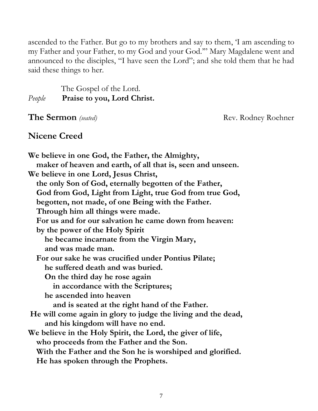ascended to the Father. But go to my brothers and say to them, 'I am ascending to my Father and your Father, to my God and your God.'" Mary Magdalene went and announced to the disciples, "I have seen the Lord"; and she told them that he had said these things to her.

 The Gospel of the Lord. *People* **Praise to you, Lord Christ.**

**The Sermon** *(seated)* Rev. Rodney Roehner

## **Nicene Creed**

**We believe in one God, the Father, the Almighty, maker of heaven and earth, of all that is, seen and unseen. We believe in one Lord, Jesus Christ, the only Son of God, eternally begotten of the Father, God from God, Light from Light, true God from true God, begotten, not made, of one Being with the Father. Through him all things were made. For us and for our salvation he came down from heaven: by the power of the Holy Spirit he became incarnate from the Virgin Mary, and was made man. For our sake he was crucified under Pontius Pilate; he suffered death and was buried. On the third day he rose again in accordance with the Scriptures; he ascended into heaven and is seated at the right hand of the Father. He will come again in glory to judge the living and the dead, and his kingdom will have no end. We believe in the Holy Spirit, the Lord, the giver of life, who proceeds from the Father and the Son. With the Father and the Son he is worshiped and glorified. He has spoken through the Prophets.**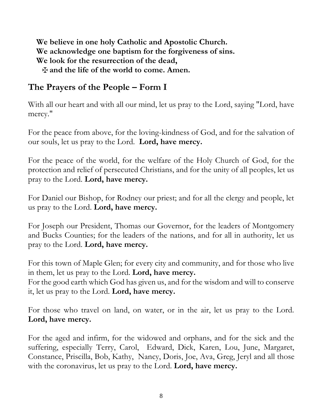**We believe in one holy Catholic and Apostolic Church. We acknowledge one baptism for the forgiveness of sins. We look for the resurrection of the dead, and the life of the world to come. Amen.**

# **The Prayers of the People – Form I**

With all our heart and with all our mind, let us pray to the Lord, saying "Lord, have mercy."

For the peace from above, for the loving-kindness of God, and for the salvation of our souls, let us pray to the Lord. **Lord, have mercy.**

For the peace of the world, for the welfare of the Holy Church of God, for the protection and relief of persecuted Christians, and for the unity of all peoples, let us pray to the Lord. **Lord, have mercy.**

For Daniel our Bishop, for Rodney our priest; and for all the clergy and people, let us pray to the Lord. **Lord, have mercy.**

For Joseph our President, Thomas our Governor, for the leaders of Montgomery and Bucks Counties; for the leaders of the nations, and for all in authority, let us pray to the Lord. **Lord, have mercy.**

For this town of Maple Glen; for every city and community, and for those who live in them, let us pray to the Lord. **Lord, have mercy.**

For the good earth which God has given us, and for the wisdom and will to conserve it, let us pray to the Lord. **Lord, have mercy.**

For those who travel on land, on water, or in the air, let us pray to the Lord. **Lord, have mercy.**

For the aged and infirm, for the widowed and orphans, and for the sick and the suffering, especially Terry, Carol, Edward, Dick, Karen, Lou, June, Margaret, Constance, Priscilla, Bob, Kathy, Nancy, Doris, Joe, Ava, Greg, Jeryl and all those with the coronavirus, let us pray to the Lord. **Lord, have mercy.**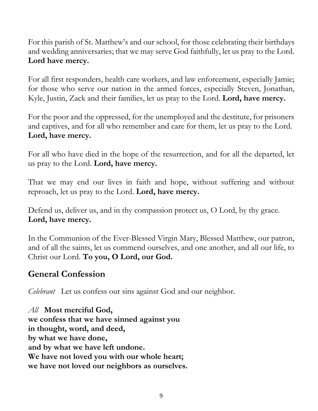For this parish of St. Matthew's and our school, for those celebrating their birthdays and wedding anniversaries; that we may serve God faithfully, let us pray to the Lord. **Lord have mercy.**

For all first responders, health care workers, and law enforcement, especially Jamie; for those who serve our nation in the armed forces, especially Steven, Jonathan, Kyle, Justin, Zack and their families, let us pray to the Lord. **Lord, have mercy.**

For the poor and the oppressed, for the unemployed and the destitute, for prisoners and captives, and for all who remember and care for them, let us pray to the Lord. **Lord, have mercy.**

For all who have died in the hope of the resurrection, and for all the departed, let us pray to the Lord. **Lord, have mercy.**

That we may end our lives in faith and hope, without suffering and without reproach, let us pray to the Lord. **Lord, have mercy.**

Defend us, deliver us, and in thy compassion protect us, O Lord, by thy grace. **Lord, have mercy.**

In the Communion of the Ever-Blessed Virgin Mary, Blessed Matthew, our patron, and of all the saints, let us commend ourselves, and one another, and all our life, to Christ our Lord. **To you, O Lord, our God.**

# **General Confession**

*Celebrant* Let us confess our sins against God and our neighbor.

*All* **Most merciful God, we confess that we have sinned against you in thought, word, and deed, by what we have done, and by what we have left undone. We have not loved you with our whole heart; we have not loved our neighbors as ourselves.**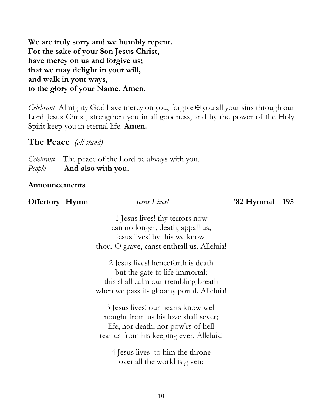10

**We are truly sorry and we humbly repent. For the sake of your Son Jesus Christ, have mercy on us and forgive us; that we may delight in your will, and walk in your ways, to the glory of your Name. Amen.**

*Celebrant* Almighty God have mercy on you, forgive  $\mathbf{\Psi}$  you all your sins through our Lord Jesus Christ, strengthen you in all goodness, and by the power of the Holy Spirit keep you in eternal life. **Amen.**

## **The Peace** *(all stand)*

*Celebrant* The peace of the Lord be always with you. *People* **And also with you.**

#### **Announcements**

**Offertory Hymn** *Jesus Lives!* **'82 Hymnal – 195** 

1 Jesus lives! thy terrors now can no longer, death, appall us; Jesus lives! by this we know thou, O grave, canst enthrall us. Alleluia!

2 Jesus lives! henceforth is death but the gate to life immortal; this shall calm our trembling breath when we pass its gloomy portal. Alleluia!

3 Jesus lives! our hearts know well nought from us his love shall sever; life, nor death, nor pow'rs of hell tear us from his keeping ever. Alleluia!

4 Jesus lives! to him the throne over all the world is given: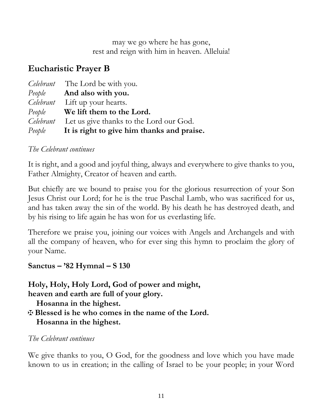may we go where he has gone, rest and reign with him in heaven. Alleluia!

# **Eucharistic Prayer B**

| <i>Celebrant</i> The Lord be with you.                   |
|----------------------------------------------------------|
| <i>People</i> <b>And also with you.</b>                  |
| <i>Celebrant</i> Lift up your hearts.                    |
| People We lift them to the Lord.                         |
| <i>Celebrant</i> Let us give thanks to the Lord our God. |
| <i>People</i> It is right to give him thanks and praise. |

*The Celebrant continues*

It is right, and a good and joyful thing, always and everywhere to give thanks to you, Father Almighty, Creator of heaven and earth.

But chiefly are we bound to praise you for the glorious resurrection of your Son Jesus Christ our Lord; for he is the true Paschal Lamb, who was sacrificed for us, and has taken away the sin of the world. By his death he has destroyed death, and by his rising to life again he has won for us everlasting life.

Therefore we praise you, joining our voices with Angels and Archangels and with all the company of heaven, who for ever sing this hymn to proclaim the glory of your Name.

#### **Sanctus – '82 Hymnal – S 130**

**Holy, Holy, Holy Lord, God of power and might, heaven and earth are full of your glory. Hosanna in the highest. Blessed is he who comes in the name of the Lord. Hosanna in the highest.** 

*The Celebrant continues*

We give thanks to you, O God, for the goodness and love which you have made known to us in creation; in the calling of Israel to be your people; in your Word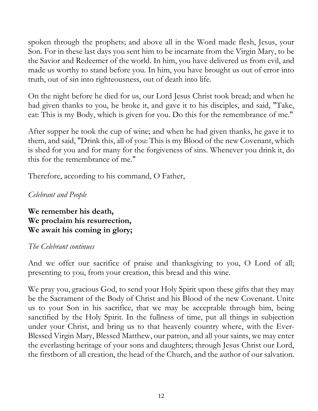spoken through the prophets; and above all in the Word made flesh, Jesus, your Son. For in these last days you sent him to be incarnate from the Virgin Mary, to be the Savior and Redeemer of the world. In him, you have delivered us from evil, and made us worthy to stand before you. In him, you have brought us out of error into truth, out of sin into righteousness, out of death into life.

On the night before he died for us, our Lord Jesus Christ took bread; and when he had given thanks to you, he broke it, and gave it to his disciples, and said, "Take, eat: This is my Body, which is given for you. Do this for the remembrance of me."

After supper he took the cup of wine; and when he had given thanks, he gave it to them, and said, "Drink this, all of you: This is my Blood of the new Covenant, which is shed for you and for many for the forgiveness of sins. Whenever you drink it, do this for the remembrance of me."

Therefore, according to his command, O Father,

# *Celebrant and People*

**We remember his death, We proclaim his resurrection, We await his coming in glory;**

# *The Celebrant continues*

And we offer our sacrifice of praise and thanksgiving to you, O Lord of all; presenting to you, from your creation, this bread and this wine.

We pray you, gracious God, to send your Holy Spirit upon these gifts that they may be the Sacrament of the Body of Christ and his Blood of the new Covenant. Unite us to your Son in his sacrifice, that we may be acceptable through him, being sanctified by the Holy Spirit. In the fullness of time, put all things in subjection under your Christ, and bring us to that heavenly country where, with the Ever-Blessed Virgin Mary, Blessed Matthew, our patron, and all your saints, we may enter the everlasting heritage of your sons and daughters; through Jesus Christ our Lord, the firstborn of all creation, the head of the Church, and the author of our salvation.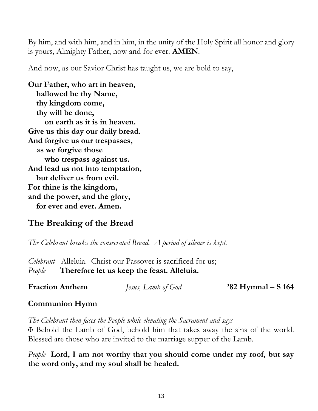By him, and with him, and in him, in the unity of the Holy Spirit all honor and glory is yours, Almighty Father, now and for ever. **AMEN***.*

And now, as our Savior Christ has taught us, we are bold to say,

**Our Father, who art in heaven, hallowed be thy Name, thy kingdom come, thy will be done, on earth as it is in heaven. Give us this day our daily bread. And forgive us our trespasses, as we forgive those who trespass against us. And lead us not into temptation, but deliver us from evil. For thine is the kingdom, and the power, and the glory, for ever and ever. Amen.** 

# **The Breaking of the Bread**

*The Celebrant breaks the consecrated Bread. A period of silence is kept.*

*Celebrant* Alleluia. Christ our Passover is sacrificed for us; *People* **Therefore let us keep the feast. Alleluia.**

| <b>Fraction Anthem</b> | Jesus, Lamb of God | <b>'82 Hymnal</b> – $S$ 164 |
|------------------------|--------------------|-----------------------------|
|------------------------|--------------------|-----------------------------|

#### **Communion Hymn**

*The Celebrant then faces the People while elevating the Sacrament and says*

Behold the Lamb of God, behold him that takes away the sins of the world. Blessed are those who are invited to the marriage supper of the Lamb.

*People* **Lord, I am not worthy that you should come under my roof, but say the word only, and my soul shall be healed.**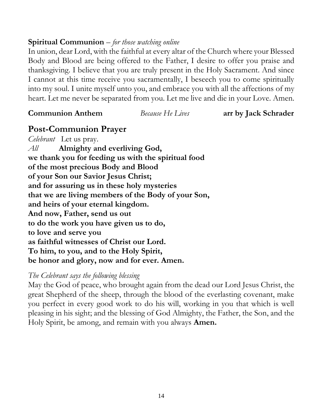#### **Spiritual Communion** – *for those watching online*

In union, dear Lord, with the faithful at every altar of the Church where your Blessed Body and Blood are being offered to the Father, I desire to offer you praise and thanksgiving. I believe that you are truly present in the Holy Sacrament. And since I cannot at this time receive you sacramentally, I beseech you to come spiritually into my soul. I unite myself unto you, and embrace you with all the affections of my heart. Let me never be separated from you. Let me live and die in your Love. Amen.

| <b>Communion Anthem</b> | <i>Because He Lives</i> | arr by Jack Schrader |
|-------------------------|-------------------------|----------------------|
|-------------------------|-------------------------|----------------------|

#### **Post-Communion Prayer**

*Celebrant* Let us pray. *All* **Almighty and everliving God, we thank you for feeding us with the spiritual food of the most precious Body and Blood of your Son our Savior Jesus Christ; and for assuring us in these holy mysteries that we are living members of the Body of your Son, and heirs of your eternal kingdom. And now, Father, send us out to do the work you have given us to do, to love and serve you as faithful witnesses of Christ our Lord. To him, to you, and to the Holy Spirit, be honor and glory, now and for ever. Amen.**

#### *The Celebrant says the following blessing*

May the God of peace, who brought again from the dead our Lord Jesus Christ, the great Shepherd of the sheep, through the blood of the everlasting covenant, make you perfect in every good work to do his will, working in you that which is well pleasing in his sight; and the blessing of God Almighty, the Father, the Son, and the Holy Spirit, be among, and remain with you always **Amen.**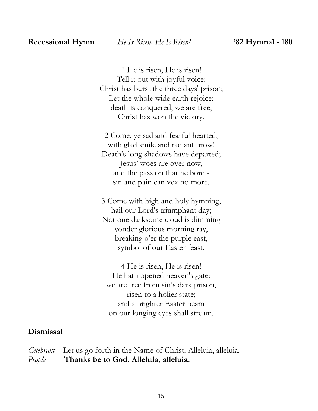1 He is risen, He is risen! Tell it out with joyful voice: Christ has burst the three days' prison; Let the whole wide earth rejoice: death is conquered, we are free, Christ has won the victory.

2 Come, ye sad and fearful hearted, with glad smile and radiant brow! Death's long shadows have departed; Jesus' woes are over now, and the passion that he bore sin and pain can vex no more.

3 Come with high and holy hymning, hail our Lord's triumphant day; Not one darksome cloud is dimming yonder glorious morning ray, breaking o'er the purple east, symbol of our Easter feast.

4 He is risen, He is risen! He hath opened heaven's gate: we are free from sin's dark prison, risen to a holier state; and a brighter Easter beam on our longing eyes shall stream.

#### **Dismissal**

*Celebrant* Let us go forth in the Name of Christ. Alleluia, alleluia. *People* **Thanks be to God. Alleluia, alleluia.**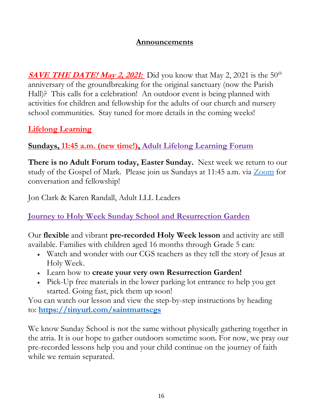#### **Announcements**

**SAVE THE DATE! May 2, 2021:** Did you know that May 2, 2021 is the 50<sup>th</sup> anniversary of the groundbreaking for the original sanctuary (now the Parish Hall)? This calls for a celebration! An outdoor event is being planned with activities for children and fellowship for the adults of our church and nursery school communities. Stay tuned for more details in the coming weeks!

#### **Lifelong Learning**

## **Sundays, 11:45 a.m. (new time!), Adult Lifelong Learning Forum**

**There is no Adult Forum today, Easter Sunday.** Next week we return to our study of the Gospel of Mark. Please join us Sundays at 11:45 a.m. via  $\frac{\text{Zoom}}{\text{G}}$  for conversation and fellowship!

Jon Clark & Karen Randall, Adult LLL Leaders

#### **Journey to Holy Week Sunday School and Resurrection Garden**

Our **flexible** and vibrant **pre-recorded Holy Week lesson** and activity are still available. Families with children aged 16 months through Grade 5 can:

- Watch and wonder with our CGS teachers as they tell the story of Jesus at Holy Week.
- Learn how to **create your very own Resurrection Garden!**
- Pick-Up free materials in the lower parking lot entrance to help you get started. Going fast, pick them up soon!

You can watch our lesson and view the step-by-step instructions by heading to: **<https://tinyurl.com/saintmattscgs>**

We know Sunday School is not the same without physically gathering together in the atria. It is our hope to gather outdoors sometime soon. For now, we pray our pre-recorded lessons help you and your child continue on the journey of faith while we remain separated.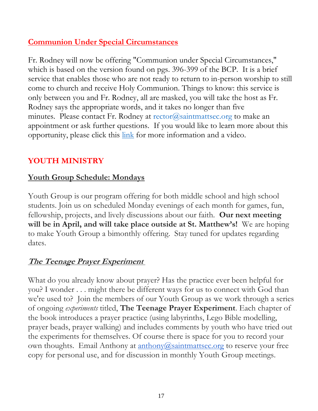# **Communion Under Special Circumstances**

Fr. Rodney will now be offering "Communion under Special Circumstances," which is based on the version found on pgs. 396-399 of the BCP. It is a brief service that enables those who are not ready to return to in-person worship to still come to church and receive Holy Communion. Things to know: this service is only between you and Fr. Rodney, all are masked, you will take the host as Fr. Rodney says the appropriate words, and it takes no longer than five minutes. Please contact Fr. Rodney at  $vector@s$ saintmattsec.org to make an appointment or ask further questions. If you would like to learn more about this opportunity, please click this [link](https://saintmattsec.org/2021/02/26/communion-under-special-circumstances/) for more information and a video.

# **YOUTH MINISTRY**

# **Youth Group Schedule: Mondays**

Youth Group is our program offering for both middle school and high school students. Join us on scheduled Monday evenings of each month for games, fun, fellowship, projects, and lively discussions about our faith. **Our next meeting will be in April, and will take place outside at St. Matthew's!** We are hoping to make Youth Group a bimonthly offering. Stay tuned for updates regarding dates.

# **The Teenage Prayer Experiment**

What do you already know about prayer? Has the practice ever been helpful for you? I wonder . . . might there be different ways for us to connect with God than we're used to? Join the members of our Youth Group as we work through a series of ongoing *experiments* titled, **The Teenage Prayer Experiment**. Each chapter of the book introduces a prayer practice (using labyrinths, Lego Bible modelling, prayer beads, prayer walking) and includes comments by youth who have tried out the experiments for themselves. Of course there is space for you to record your own thoughts. Email Anthony at  $\frac{\text{anthon}(a)}{\text{saintmattsec.org}}$  to reserve your free copy for personal use, and for discussion in monthly Youth Group meetings.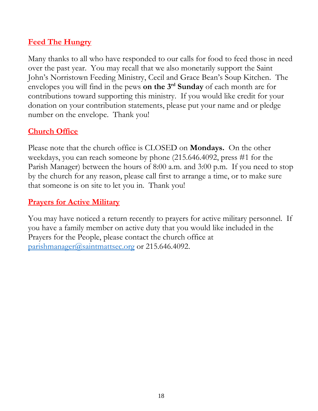# **Feed The Hungry**

Many thanks to all who have responded to our calls for food to feed those in need over the past year. You may recall that we also monetarily support the Saint John's Norristown Feeding Ministry, Cecil and Grace Bean's Soup Kitchen. The envelopes you will find in the pews **on the 3rd Sunday** of each month are for contributions toward supporting this ministry. If you would like credit for your donation on your contribution statements, please put your name and or pledge number on the envelope. Thank you!

# **Church Office**

Please note that the church office is CLOSED on **Mondays.** On the other weekdays, you can reach someone by phone (215.646.4092, press #1 for the Parish Manager) between the hours of 8:00 a.m. and 3:00 p.m. If you need to stop by the church for any reason, please call first to arrange a time, or to make sure that someone is on site to let you in. Thank you!

# **Prayers for Active Military**

You may have noticed a return recently to prayers for active military personnel. If you have a family member on active duty that you would like included in the Prayers for the People, please contact the church office at [parishmanager@saintmattsec.org](about:blank) or 215.646.4092.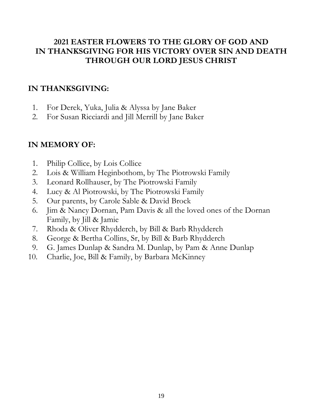#### **2021 EASTER FLOWERS TO THE GLORY OF GOD AND IN THANKSGIVING FOR HIS VICTORY OVER SIN AND DEATH THROUGH OUR LORD JESUS CHRIST**

#### **IN THANKSGIVING:**

- 1. For Derek, Yuka, Julia & Alyssa by Jane Baker
- 2. For Susan Ricciardi and Jill Merrill by Jane Baker

# **IN MEMORY OF:**

- 1. Philip Collice, by Lois Collice
- 2. Lois & William Heginbothom, by The Piotrowski Family
- 3. Leonard Rollhauser, by The Piotrowski Family
- 4. Lucy & Al Piotrowski, by The Piotrowski Family
- 5. Our parents, by Carole Sable & David Brock
- 6. Jim & Nancy Dornan, Pam Davis & all the loved ones of the Dornan Family, by Jill & Jamie
- 7. Rhoda & Oliver Rhydderch, by Bill & Barb Rhydderch
- 8. George & Bertha Collins, Sr, by Bill & Barb Rhydderch
- 9. G. James Dunlap & Sandra M. Dunlap, by Pam & Anne Dunlap
- 10. Charlie, Joe, Bill & Family, by Barbara McKinney